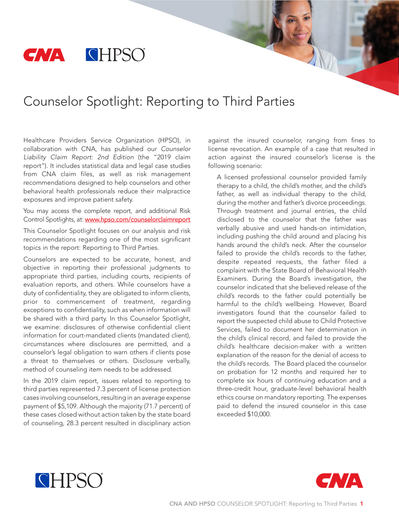# **CNA CHPSO**

# Counselor Spotlight: Reporting to Third Parties

Healthcare Providers Service Organization (HPSO), in collaboration with CNA, has published our *Counselor Liability Claim Report: 2nd Edition* (the "2019 claim report"). It includes statistical data and legal case studies from CNA claim files, as well as risk management recommendations designed to help counselors and other behavioral health professionals reduce their malpractice exposures and improve patient safety.

You may access the complete report, and additional Risk Control Spotlights, at: [www.hpso.com/counselorclaimreport](http://www.hpso.com/risk-education/individuals/Counselor-Claim-Reports?refID=WWCCCi)

This Counselor Spotlight focuses on our analysis and risk recommendations regarding one of the most significant topics in the report: Reporting to Third Parties.

Counselors are expected to be accurate, honest, and objective in reporting their professional judgments to appropriate third parties, including courts, recipients of evaluation reports, and others. While counselors have a duty of confidentiality, they are obligated to inform clients, prior to commencement of treatment, regarding exceptions to confidentiality, such as when information will be shared with a third party. In this Counselor Spotlight, we examine: disclosures of otherwise confidential client information for court-mandated clients (mandated client), circumstances where disclosures are permitted, and a counselor's legal obligation to warn others if clients pose a threat to themselves or others. Disclosure verbally, method of counseling item needs to be addressed.

In the 2019 claim report, issues related to reporting to third parties represented 7.3 percent of license protection cases involving counselors, resulting in an average expense payment of \$5,109. Although the majority (71.7 percent) of these cases closed without action taken by the state board of counseling, 28.3 percent resulted in disciplinary action

against the insured counselor, ranging from fines to license revocation. An example of a case that resulted in action against the insured counselor's license is the following scenario:

A licensed professional counselor provided family therapy to a child, the child's mother, and the child's father, as well as individual therapy to the child, during the mother and father's divorce proceedings. Through treatment and journal entries, the child disclosed to the counselor that the father was verbally abusive and used hands-on intimidation, including pushing the child around and placing his hands around the child's neck. After the counselor failed to provide the child's records to the father, despite repeated requests, the father filed a complaint with the State Board of Behavioral Health Examiners. During the Board's investigation, the counselor indicated that she believed release of the child's records to the father could potentially be harmful to the child's wellbeing. However, Board investigators found that the counselor failed to report the suspected child abuse to Child Protective Services, failed to document her determination in the child's clinical record, and failed to provide the child's healthcare decision-maker with a written explanation of the reason for the denial of access to the child's records. The Board placed the counselor on probation for 12 months and required her to complete six hours of continuing education and a three-credit hour, graduate-level behavioral health ethics course on mandatory reporting. The expenses paid to defend the insured counselor in this case exceeded \$10,000.



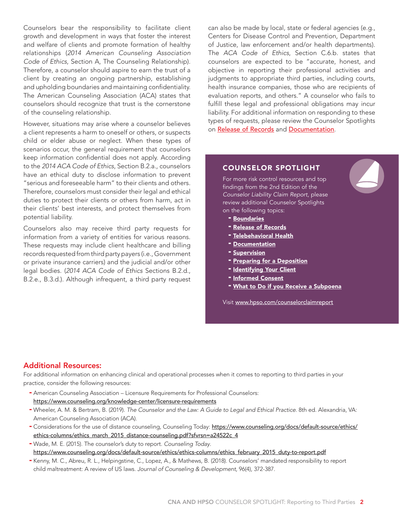Counselors bear the responsibility to facilitate client growth and development in ways that foster the interest and welfare of clients and promote formation of healthy relationships (*2014 American Counseling Association Code of Ethics*, Section A, The Counseling Relationship). Therefore, a counselor should aspire to earn the trust of a client by creating an ongoing partnership, establishing and upholding boundaries and maintaining confidentiality. The American Counseling Association (ACA) states that counselors should recognize that trust is the cornerstone of the counseling relationship.

However, situations may arise where a counselor believes a client represents a harm to oneself or others, or suspects child or elder abuse or neglect. When these types of scenarios occur, the general requirement that counselors keep information confidential does not apply. According to the *2014 ACA Code of Ethics*, Section B.2.a., counselors have an ethical duty to disclose information to prevent "serious and foreseeable harm" to their clients and others. Therefore, counselors must consider their legal and ethical duties to protect their clients or others from harm, act in their clients' best interests, and protect themselves from potential liability.

Counselors also may receive third party requests for information from a variety of entities for various reasons. These requests may include client healthcare and billing records requested from third party payers (i.e., Government or private insurance carriers) and the judicial and/or other legal bodies. (*2014 ACA Code of Ethics* Sections B.2.d., B.2.e., B.3.d.). Although infrequent, a third party request

can also be made by local, state or federal agencies (e.g., Centers for Disease Control and Prevention, Department of Justice, law enforcement and/or health departments). The *ACA Code of Ethics*, Section C.6.b. states that counselors are expected to be "accurate, honest, and objective in reporting their professional activities and judgments to appropriate third parties, including courts, health insurance companies, those who are recipients of evaluation reports, and others." A counselor who fails to fulfill these legal and professional obligations may incur liability. For additional information on responding to these types of requests, please review the Counselor Spotlights on [Release of Records](http://www.hpso.com/Documents/Risk%20Education/individuals/Claim-Reports/Counselor/F-13775-619_Release_of_Records_Spotlight.pdf) and [Documentation](http://www.hpso.com/Documents/Risk%20Education/individuals/Claim-Reports/Counselor/F-13776-619_Documentation_Spotlight.pdf).

### COUNSELOR SPOTLIGHT

For more risk control resources and top findings from the 2nd Edition of the *Counselor Liability Claim Report*, please review additional Counselor Spotlights on the following topics:

- [Boundaries](http://www.hpso.com/counselorclaimreport_boundaries)
- [Release of Records](http://www.hpso.com/counselorclaimreport_records)
- [Telebehavioral Health](http://www.hpso.com/counselorclaimreport_telebehavioralhealth)
- **[Documentat](http://www.hpso.com/Documents/Risk%20Education/individuals/Claim-Reports/Counselor/X-13992-1219_Supervision_Spotlight_FINAL.pdf)ion**
- **Supervision**
- **[Preparing for a Deposition](http://www.hpso.com/counselorclaimreport_preparedepo)**
- [Identifying Your C](http://www.hpso.com/counselorclaimreport_informedconsent)lient
- Informed Consent
- [What to Do if you Receive a Subpoena](http://www.hpso.com/counselorclaimreport_subpoena)

Visit [www.hpso.com/counselorclaimreport](http://www.hpso.com/counselorclaimreport)

## Additional Resources:

For additional information on enhancing clinical and operational processes when it comes to reporting to third parties in your practice, consider the following resources:

- American Counseling Association Licensure Requirements for Professional Counselors: https://www.counseling.org/knowledge-center/licensure-requirements
- Wheeler, A. M. & Bertram, B. (2019). *The Counselor and the Law: A Guide to Legal and Ethical Practice.* 8th ed. Alexandria, VA: American Counseling Association (ACA).
- Considerations for the use of distance counseling, Counseling Today: https://www.counseling.org/docs/default-source/ethics/ ethics-columns/ethics\_march\_2015\_distance-counseling.pdf?sfvrsn=a24522c\_4
- Wade, M. E. (2015). The counselor's duty to report. *Counseling Today*. https://www.counseling.org/docs/default-source/ethics/ethics-columns/ethics\_february\_2015\_duty-to-report.pdf
- Kenny, M. C., Abreu, R. L., Helpingstine, C., Lopez, A., & Mathews, B. (2018). Counselors' mandated responsibility to report child maltreatment: A review of US laws. *Journal of Counseling & Development*, 96(4), 372-387.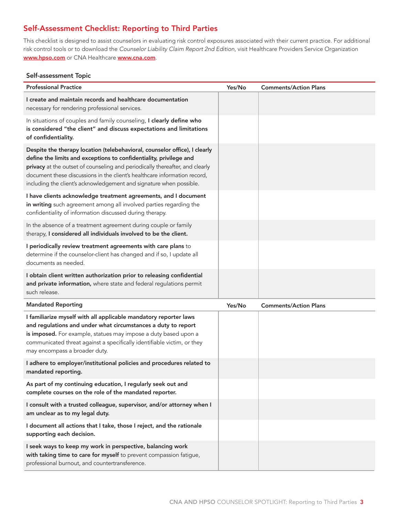# Self-Assessment Checklist: Reporting to Third Parties

This checklist is designed to assist counselors in evaluating risk control exposures associated with their current practice. For additional risk control tools or to download the *Counselor Liability Claim Report 2nd Edition*, visit Healthcare Providers Service Organization www.hpso.com or CNA Healthcare www.cna.com.

#### Self-assessment Topic

| <b>Professional Practice</b>                                                                                                                                                                                                                                                                                                                                                         | Yes/No | <b>Comments/Action Plans</b> |
|--------------------------------------------------------------------------------------------------------------------------------------------------------------------------------------------------------------------------------------------------------------------------------------------------------------------------------------------------------------------------------------|--------|------------------------------|
| I create and maintain records and healthcare documentation<br>necessary for rendering professional services.                                                                                                                                                                                                                                                                         |        |                              |
| In situations of couples and family counseling, I clearly define who<br>is considered "the client" and discuss expectations and limitations<br>of confidentiality.                                                                                                                                                                                                                   |        |                              |
| Despite the therapy location (telebehavioral, counselor office), I clearly<br>define the limits and exceptions to confidentiality, privilege and<br>privacy at the outset of counseling and periodically thereafter, and clearly<br>document these discussions in the client's healthcare information record,<br>including the client's acknowledgement and signature when possible. |        |                              |
| I have clients acknowledge treatment agreements, and I document<br>in writing such agreement among all involved parties regarding the<br>confidentiality of information discussed during therapy.                                                                                                                                                                                    |        |                              |
| In the absence of a treatment agreement during couple or family<br>therapy, I considered all individuals involved to be the client.                                                                                                                                                                                                                                                  |        |                              |
| I periodically review treatment agreements with care plans to<br>determine if the counselor-client has changed and if so, I update all<br>documents as needed.                                                                                                                                                                                                                       |        |                              |
| I obtain client written authorization prior to releasing confidential<br>and private information, where state and federal regulations permit<br>such release.                                                                                                                                                                                                                        |        |                              |
| <b>Mandated Reporting</b>                                                                                                                                                                                                                                                                                                                                                            | Yes/No | <b>Comments/Action Plans</b> |
| I familiarize myself with all applicable mandatory reporter laws<br>and regulations and under what circumstances a duty to report<br>is imposed. For example, statues may impose a duty based upon a<br>communicated threat against a specifically identifiable victim, or they<br>may encompass a broader duty.                                                                     |        |                              |
| I adhere to employer/institutional policies and procedures related to<br>mandated reporting.                                                                                                                                                                                                                                                                                         |        |                              |
| As part of my continuing education, I regularly seek out and<br>complete courses on the role of the mandated reporter.                                                                                                                                                                                                                                                               |        |                              |
| I consult with a trusted colleague, supervisor, and/or attorney when I<br>am unclear as to my legal duty.                                                                                                                                                                                                                                                                            |        |                              |
| I document all actions that I take, those I reject, and the rationale<br>supporting each decision.                                                                                                                                                                                                                                                                                   |        |                              |
| I seek ways to keep my work in perspective, balancing work<br>with taking time to care for myself to prevent compassion fatigue,<br>professional burnout, and countertransference.                                                                                                                                                                                                   |        |                              |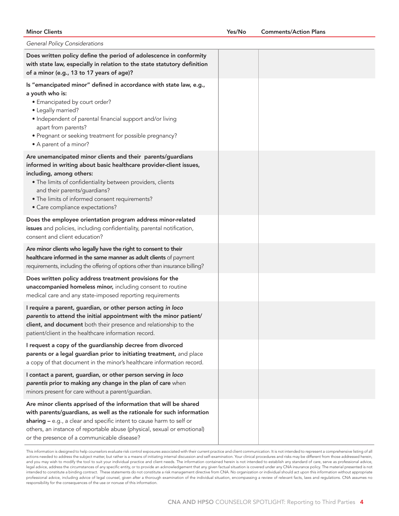#### Minor Clients

| General Policy Considerations                                                                                                                                                                                                                                                                                                                    |  |
|--------------------------------------------------------------------------------------------------------------------------------------------------------------------------------------------------------------------------------------------------------------------------------------------------------------------------------------------------|--|
| Does written policy define the period of adolescence in conformity<br>with state law, especially in relation to the state statutory definition<br>of a minor (e.g., 13 to 17 years of age)?                                                                                                                                                      |  |
| Is "emancipated minor" defined in accordance with state law, e.g.,<br>a youth who is:<br>• Emancipated by court order?<br>• Legally married?<br>• Independent of parental financial support and/or living<br>apart from parents?<br>• Pregnant or seeking treatment for possible pregnancy?<br>• A parent of a minor?                            |  |
| Are unemancipated minor clients and their parents/guardians<br>informed in writing about basic healthcare provider-client issues,<br>including, among others:<br>. The limits of confidentiality between providers, clients<br>and their parents/guardians?<br>. The limits of informed consent requirements?<br>• Care compliance expectations? |  |
| Does the employee orientation program address minor-related<br>issues and policies, including confidentiality, parental notification,<br>consent and client education?                                                                                                                                                                           |  |
| Are minor clients who legally have the right to consent to their<br>healthcare informed in the same manner as adult clients of payment<br>requirements, including the offering of options other than insurance billing?                                                                                                                          |  |
| Does written policy address treatment provisions for the<br>unaccompanied homeless minor, including consent to routine<br>medical care and any state-imposed reporting requirements                                                                                                                                                              |  |
| I require a parent, guardian, or other person acting in loco<br>parentis to attend the initial appointment with the minor patient/<br>client, and document both their presence and relationship to the<br>patient/client in the healthcare information record.                                                                                   |  |
| I request a copy of the guardianship decree from divorced<br>parents or a legal guardian prior to initiating treatment, and place<br>a copy of that document in the minor's healthcare information record.                                                                                                                                       |  |
| I contact a parent, guardian, or other person serving in loco<br>parentis prior to making any change in the plan of care when<br>minors present for care without a parent/guardian.                                                                                                                                                              |  |
| Are minor clients apprised of the information that will be shared<br>with parents/guardians, as well as the rationale for such information<br>sharing - e.g., a clear and specific intent to cause harm to self or<br>others, an instance of reportable abuse (physical, sexual or emotional)<br>or the presence of a communicable disease?      |  |

This information is designed to help counselors evaluate risk control exposures associated with their current practice and client communication. It is not intended to represent a comprehensive listing of all actions needed to address the subject matter, but rather is a means of initiating internal discussion and self-examination. Your clinical procedures and risks may be different from those addressed herein, and you may wish to modify the tool to suit your individual practice and client needs. The information contained herein is not intended to establish any standard of care, serve as professional advice, legal advice, address the circumstances of any specific entity, or to provide an acknowledgement that any given factual situation is covered under any CNA insurance policy. The material presented is not intended to constitute a binding contract. These statements do not constitute a risk management directive from CNA. No organization or individual should act upon this information without appropriate professional advice, including advice of legal counsel, given after a thorough examination of the individual situation, encompassing a review of relevant facts, laws and regulations. CNA assumes no responsibility for the consequences of the use or nonuse of this information.